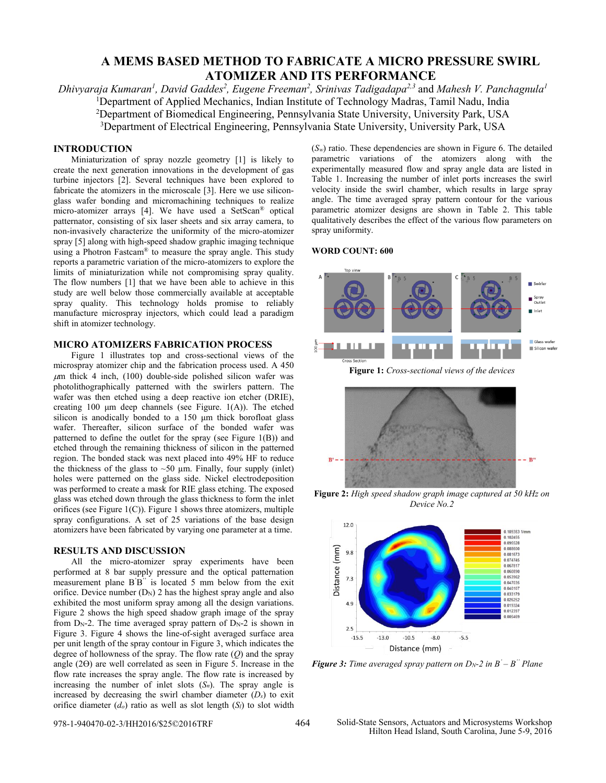# **A MEMS BASED METHOD TO FABRICATE A MICRO PRESSURE SWIRL ATOMIZER AND ITS PERFORMANCE**

*Dhivyaraja Kumaran<sup>1</sup> , David Gaddes<sup>2</sup> , Eugene Freeman<sup>2</sup> , Srinivas Tadigadapa2,3* and *Mahesh V. Panchagnula<sup>1</sup>* <sup>1</sup>Department of Applied Mechanics, Indian Institute of Technology Madras, Tamil Nadu, India <sup>2</sup>Department of Biomedical Engineering, Pennsylvania State University, University Park, USA <sup>3</sup>Department of Electrical Engineering, Pennsylvania State University, University Park, USA

## **INTRODUCTION**

Miniaturization of spray nozzle geometry [1] is likely to create the next generation innovations in the development of gas turbine injectors [2]. Several techniques have been explored to fabricate the atomizers in the microscale [3]. Here we use siliconglass wafer bonding and micromachining techniques to realize micro-atomizer arrays [4]. We have used a SetScan® optical patternator, consisting of six laser sheets and six array camera, to non-invasively characterize the uniformity of the micro-atomizer spray [5] along with high-speed shadow graphic imaging technique using a Photron Fastcam® to measure the spray angle. This study reports a parametric variation of the micro-atomizers to explore the limits of miniaturization while not compromising spray quality. The flow numbers [1] that we have been able to achieve in this study are well below those commercially available at acceptable spray quality. This technology holds promise to reliably manufacture microspray injectors, which could lead a paradigm shift in atomizer technology.

#### **MICRO ATOMIZERS FABRICATION PROCESS**

Figure 1 illustrates top and cross-sectional views of the microspray atomizer chip and the fabrication process used. A 450  $\mu$ m thick 4 inch, (100) double-side polished silicon wafer was photolithographically patterned with the swirlers pattern. The wafer was then etched using a deep reactive ion etcher (DRIE), creating 100 μm deep channels (see Figure. 1(A)). The etched silicon is anodically bonded to a 150 μm thick borofloat glass wafer. Thereafter, silicon surface of the bonded wafer was patterned to define the outlet for the spray (see Figure 1(B)) and etched through the remaining thickness of silicon in the patterned region. The bonded stack was next placed into 49% HF to reduce the thickness of the glass to  $~50 \mu m$ . Finally, four supply (inlet) holes were patterned on the glass side. Nickel electrodeposition was performed to create a mask for RIE glass etching. The exposed glass was etched down through the glass thickness to form the inlet orifices (see Figure  $1(C)$ ). Figure 1 shows three atomizers, multiple spray configurations. A set of 25 variations of the base design atomizers have been fabricated by varying one parameter at a time.

#### **RESULTS AND DISCUSSION**

All the micro-atomizer spray experiments have been performed at 8 bar supply pressure and the optical patternation measurement plane B'B'' is located 5 mm below from the exit orifice. Device number  $(D_N)$  2 has the highest spray angle and also exhibited the most uniform spray among all the design variations. Figure 2 shows the high speed shadow graph image of the spray from  $D_N-2$ . The time averaged spray pattern of  $D_N-2$  is shown in Figure 3. Figure 4 shows the line-of-sight averaged surface area per unit length of the spray contour in Figure 3, which indicates the degree of hollowness of the spray. The flow rate (*Q*) and the spray angle (2ϴ) are well correlated as seen in Figure 5. Increase in the flow rate increases the spray angle. The flow rate is increased by increasing the number of inlet slots  $(S_n)$ . The spray angle is increased by decreasing the swirl chamber diameter  $(D_s)$  to exit orifice diameter  $(d_o)$  ratio as well as slot length  $(S_i)$  to slot width

 $(S_w)$  ratio. These dependencies are shown in Figure 6. The detailed parametric variations of the atomizers along with the experimentally measured flow and spray angle data are listed in Table 1. Increasing the number of inlet ports increases the swirl velocity inside the swirl chamber, which results in large spray angle. The time averaged spray pattern contour for the various parametric atomizer designs are shown in Table 2. This table qualitatively describes the effect of the various flow parameters on spray uniformity.

#### **WORD COUNT: 600**



**Figure 1:** *Cross-sectional views of the devices*



**Figure 2:** *High speed shadow graph image captured at 50 kHz on Device No.2*



*Figure 3: Time averaged spray pattern on DN-2 in B' – B '' Plane*

978-1-940470-02-3/HH2016/\$25©2016TRF 464 Solid-State Sensors, Actuators and Microsystems Workshop Hilton Head Island, South Carolina, June 5-9, 2016